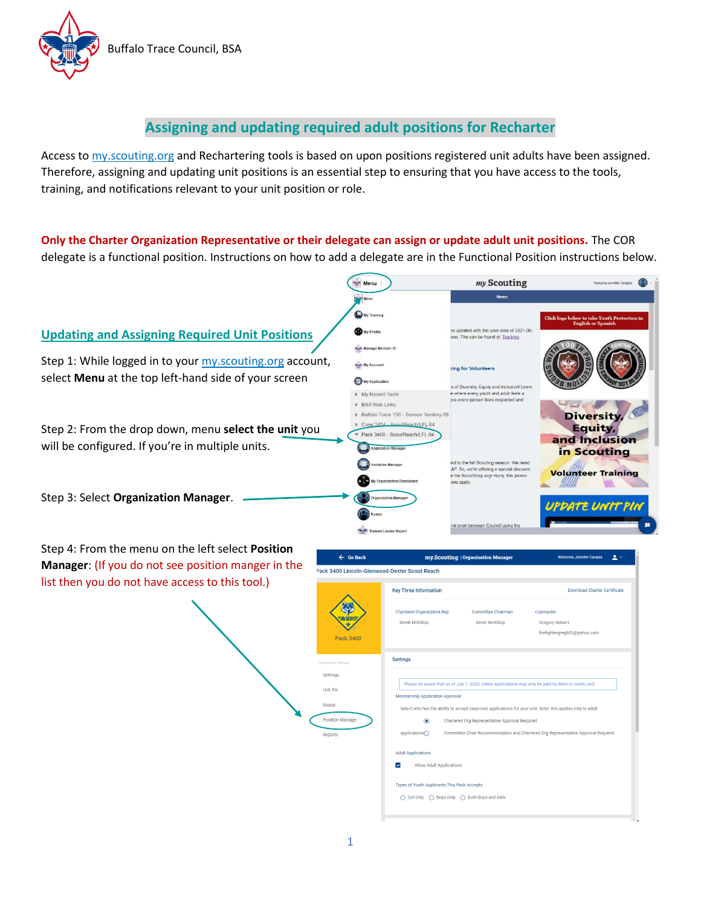

## **Assigning and updating required adult positions for Recharter**

Access to my.scouting.org and Rechartering tools is based on upon positions registered unit adults have been assigned. Therefore, assigning and updating unit positions is an essential step to ensuring that you have access to the tools, training, and notifications relevant to your unit position or role.

**Only the Charter Organization Representative or their delegate can assign or update adult unit positions.** The COR delegate is a functional position. Instructions on how to add a delegate are in the Functional Position instructions below.



Step 4: From the menu on the left select **Position Manager:** (If you do not see position manger in list then you do not have access to this tool.)

|     | $\leftarrow$ Go Back                          | my.Scouting   Organization Manager                                                                          | Welcome, Jennifer Carapia<br>$\blacktriangle$ $\vee$                                                   |  |  |  |  |  |
|-----|-----------------------------------------------|-------------------------------------------------------------------------------------------------------------|--------------------------------------------------------------------------------------------------------|--|--|--|--|--|
| the | Pack 3400 Lincoln-Glenwood-Dexter Scout Reach |                                                                                                             |                                                                                                        |  |  |  |  |  |
|     |                                               | <b>Key Three Information</b>                                                                                | <b>Download Charter Certificate</b>                                                                    |  |  |  |  |  |
|     | <b>Pack 3400</b>                              | Chartered Organization Rep.<br><b>Committee Chairman</b><br>Derek McKillop<br>Derek McKillop                | Cubmaster<br><b>Gregory Seibert</b><br>firefightergreg602@yahoo.com                                    |  |  |  |  |  |
|     | Organization Manager                          | <b>Settings</b>                                                                                             |                                                                                                        |  |  |  |  |  |
|     | Settings                                      |                                                                                                             |                                                                                                        |  |  |  |  |  |
|     | <b>Unit Pin</b>                               | <b>Membership Application Approval</b>                                                                      | Please be aware that as of July 1, 2020, online applications may only be paid by debit or credit card. |  |  |  |  |  |
|     | <b>Roster</b>                                 | Select who has the ability to accept (approve) applications for your unit. Note: this applies only to adult |                                                                                                        |  |  |  |  |  |
|     | <b>Position Manager</b>                       | $\circledbullet$<br>Chartered Org Representative Approval Required                                          |                                                                                                        |  |  |  |  |  |
|     | <b>Reports</b>                                | applications∩<br>Committee Chair Recommendation and Chartered Org Representative Approval Required          |                                                                                                        |  |  |  |  |  |
|     |                                               | <b>Adult Applications</b>                                                                                   |                                                                                                        |  |  |  |  |  |
|     |                                               | $\checkmark$<br><b>Allow Adult Applications</b>                                                             |                                                                                                        |  |  |  |  |  |
|     |                                               | Types of Youth Applicants This Pack Accepts                                                                 |                                                                                                        |  |  |  |  |  |
|     |                                               | ◯ Girl Only ◯ Boys Only ◯ Both Boys and Girls                                                               |                                                                                                        |  |  |  |  |  |
|     |                                               |                                                                                                             |                                                                                                        |  |  |  |  |  |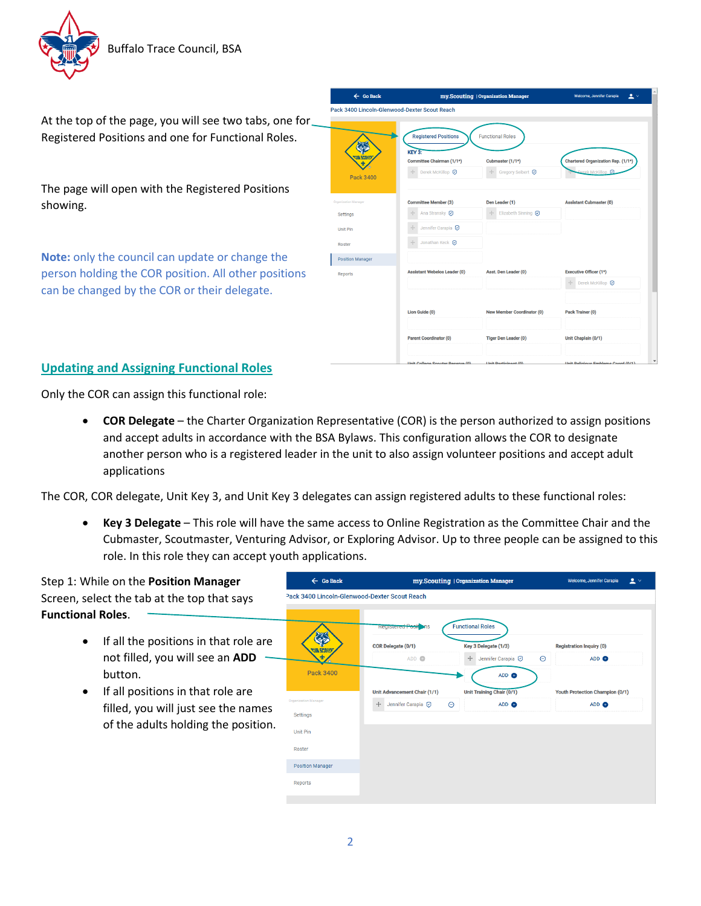

At the top of the page, you will see two tabs, one for Registered Positions and one for Functional Roles.

The page will open with the Registered Positions showing.

**Note:** only the council can update or change the person holding the COR position. All other positions can be changed by the COR or their delegate.

| $\leftarrow$ Go Back                     | my.Scouting   Organization Manager                                                                                        | $\blacktriangle$ $\vee$<br><b>Welcome, Jennifer Carapia</b>           |                                                                   |  |
|------------------------------------------|---------------------------------------------------------------------------------------------------------------------------|-----------------------------------------------------------------------|-------------------------------------------------------------------|--|
|                                          | Pack 3400 Lincoln-Glenwood-Dexter Scout Reach                                                                             |                                                                       |                                                                   |  |
|                                          | <b>Registered Positions</b><br><b>KEY 3:</b><br>Committee Chairman (1/1*)<br>$+\!\!\!-\!\!\!-$<br>Derek McKillop <b>⊙</b> | <b>Functional Roles</b><br>Cubmaster (1/1*)<br>Gregory Seibert ?<br>÷ | Chartered Organization Rep. (1/1*)<br>Derek McKillop <sup>O</sup> |  |
| <b>Pack 3400</b><br>Organization Manager | <b>Committee Member (3)</b>                                                                                               | Den Leader (1)                                                        | <b>Assistant Cubmaster (0)</b>                                    |  |
| Settings                                 | $\frac{1}{2}$<br>Ana Stransky <b>⊙</b>                                                                                    | Elizabeth Sinning <b>⊙</b><br>$\frac{1}{1-\epsilon}$                  |                                                                   |  |
| <b>Unit Pin</b>                          | $\frac{1}{2}$<br>Jennifer Carapia <a></a>                                                                                 |                                                                       |                                                                   |  |
| Roster                                   | Jonathan Keck <b>⊙</b><br>$\frac{1}{2}$                                                                                   |                                                                       |                                                                   |  |
| <b>Position Manager</b>                  |                                                                                                                           |                                                                       |                                                                   |  |
| Reports                                  | <b>Assistant Webelos Leader (0)</b>                                                                                       | Asst. Den Leader (0)                                                  | <b>Executive Officer (1*)</b>                                     |  |
|                                          |                                                                                                                           |                                                                       | Derek McKillop <b>⊙</b><br>$\stackrel{\circ}{\leftarrow}$         |  |
|                                          | Lion Guide (0)                                                                                                            | <b>New Member Coordinator (0)</b>                                     | Pack Trainer (0)                                                  |  |
|                                          | <b>Parent Coordinator (0)</b>                                                                                             | <b>Tiger Den Leader (0)</b>                                           | Unit Chaplain (0/1)                                               |  |
|                                          |                                                                                                                           |                                                                       |                                                                   |  |

## **Updating and Assigning Functional Roles**

Only the COR can assign this functional role:

• **COR Delegate** – the Charter Organization Representative (COR) is the person authorized to assign positions and accept adults in accordance with the BSA Bylaws. This configuration allows the COR to designate another person who is a registered leader in the unit to also assign volunteer positions and accept adult applications

The COR, COR delegate, Unit Key 3, and Unit Key 3 delegates can assign registered adults to these functional roles:

• **Key 3 Delegate** – This role will have the same access to Online Registration as the Committee Chair and the Cubmaster, Scoutmaster, Venturing Advisor, or Exploring Advisor. Up to three people can be assigned to this role. In this role they can accept youth applications.

 $\leftarrow$  Go Back my.Scouting | Organization Manager Welcome, Jennifer Carapia  $\qquad \qquad \triangleq$   $\vee$ Step 1: While on the **Position Manager** Pack 3400 Lincoln-Glenwood-Dexter Scout Reach Screen, select the tab at the top that says **Functional Roles**. **Functional Roles** • If all the positions in that role are COR Delegate (0/1) Key 3 Delegate (1/3) **Registration Inquiry (0)** not filled, you will see an **ADD** ADD  $\bullet$ + Jennifer Carapia <a>  $\Theta$ ADD <sup>a</sup> button. Pack 3400 ADD @ • If all positions in that role are Unit Advancement Chair (1/1) Unit Training Chair (0/1) Youth Protection Champion (0/1) + Jennifer Carapia ⊙  $\Theta$ ADD <sup>O</sup> ADD @ filled, you will just see the names Settings of the adults holding the position.Unit Pin Roste Position Manager Reports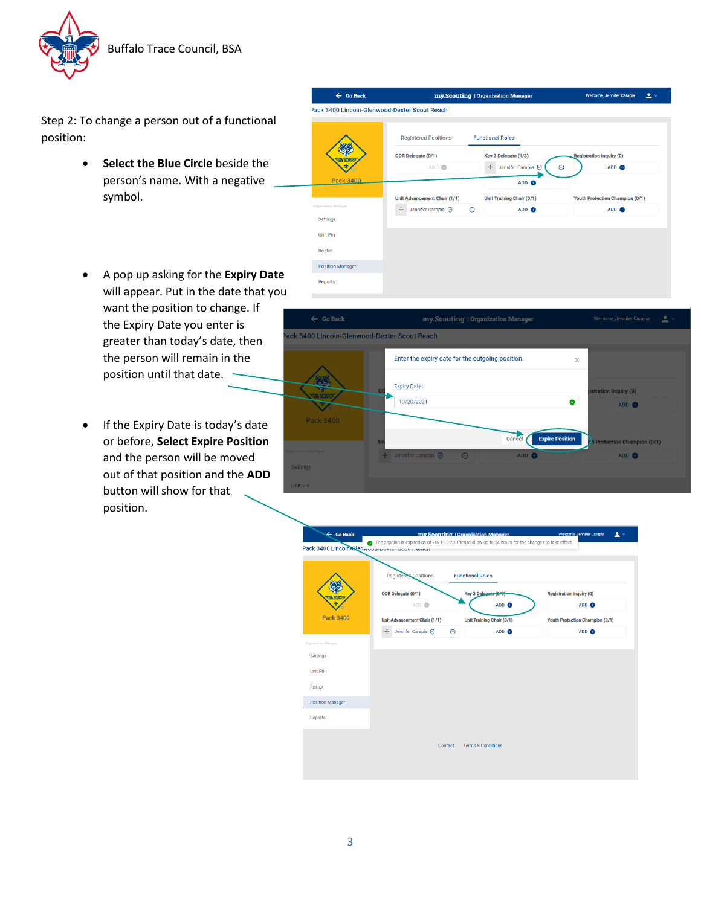

Step 2: To change a person out of a functional position:

- **Select the Blue Circle** beside the person's name. With a negative symbol.
- A pop up asking for the **Expiry Date** will appear. Put in the date that you want the position to change. If the Expiry Date you enter is greater than today's date, then the person will remain in the position until that date.
- If the Expiry Date is today's date or before, **Select Expire Position** and the person will be moved out of that position and the **ADD** button will show for that position.





| $\leftarrow$ Go Back<br>Pack 3400 Lincoln-Glenwou-Dealer Joual Regul | my Scouting   Organization Manager<br>The position is expired as of 2021-10-20. Please allow up to 24 hours for the changes to take effect. |                               |                  |                                 | <b>Welcome, Jennifer Carapia</b> | 2 <sub>v</sub> |  |
|----------------------------------------------------------------------|---------------------------------------------------------------------------------------------------------------------------------------------|-------------------------------|------------------|---------------------------------|----------------------------------|----------------|--|
|                                                                      | Registered Positions<br><b>Functional Roles</b>                                                                                             |                               |                  |                                 |                                  |                |  |
|                                                                      | COR Delegate (0/1)                                                                                                                          | Key 3 Delegate (0/9)          |                  | <b>Registration Inquiry (0)</b> |                                  |                |  |
|                                                                      | ADD <sup>O</sup>                                                                                                                            |                               | ADD <sup>O</sup> |                                 | ADD <sup>O</sup>                 |                |  |
| <b>Pack 3400</b>                                                     | Unit Advancement Chair (1/1)                                                                                                                | Unit Training Chair (0/1)     |                  |                                 | Youth Protection Champion (0/1)  |                |  |
|                                                                      | Jennifer Carapia <a><br/><math>+</math><br/><math>\Theta</math></a>                                                                         |                               | ADD <sup>O</sup> |                                 | ADD <sup>O</sup>                 |                |  |
| Settings<br><b>Unit Pin</b><br>Roster                                |                                                                                                                                             |                               |                  |                                 |                                  |                |  |
| <b>Position Manager</b><br>Reports                                   |                                                                                                                                             |                               |                  |                                 |                                  |                |  |
|                                                                      | Contact                                                                                                                                     | <b>Terms &amp; Conditions</b> |                  |                                 |                                  |                |  |